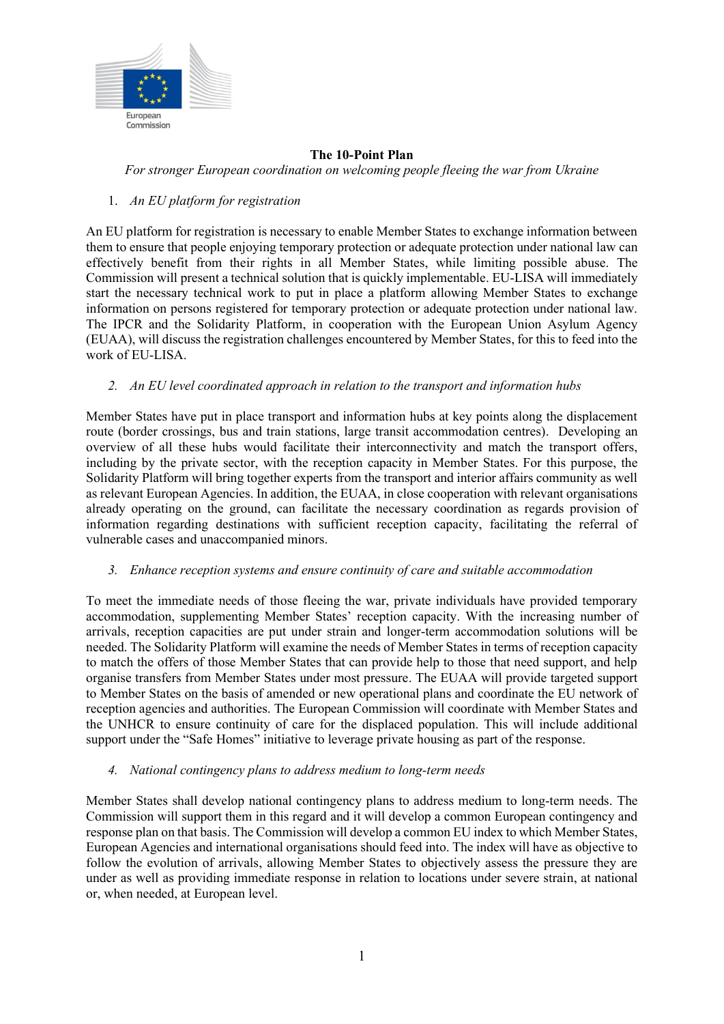

#### **The 10-Point Plan**  *For stronger European coordination on welcoming people fleeing the war from Ukraine*

## 1. *An EU platform for registration*

An EU platform for registration is necessary to enable Member States to exchange information between them to ensure that people enjoying temporary protection or adequate protection under national law can effectively benefit from their rights in all Member States, while limiting possible abuse. The Commission will present a technical solution that is quickly implementable. EU-LISA will immediately start the necessary technical work to put in place a platform allowing Member States to exchange information on persons registered for temporary protection or adequate protection under national law. The IPCR and the Solidarity Platform, in cooperation with the European Union Asylum Agency (EUAA), will discuss the registration challenges encountered by Member States, for this to feed into the work of EU-LISA.

### *2. An EU level coordinated approach in relation to the transport and information hubs*

Member States have put in place transport and information hubs at key points along the displacement route (border crossings, bus and train stations, large transit accommodation centres). Developing an overview of all these hubs would facilitate their interconnectivity and match the transport offers, including by the private sector, with the reception capacity in Member States. For this purpose, the Solidarity Platform will bring together experts from the transport and interior affairs community as well as relevant European Agencies. In addition, the EUAA, in close cooperation with relevant organisations already operating on the ground, can facilitate the necessary coordination as regards provision of information regarding destinations with sufficient reception capacity, facilitating the referral of vulnerable cases and unaccompanied minors.

### *3. Enhance reception systems and ensure continuity of care and suitable accommodation*

To meet the immediate needs of those fleeing the war, private individuals have provided temporary accommodation, supplementing Member States' reception capacity. With the increasing number of arrivals, reception capacities are put under strain and longer-term accommodation solutions will be needed. The Solidarity Platform will examine the needs of Member States in terms of reception capacity to match the offers of those Member States that can provide help to those that need support, and help organise transfers from Member States under most pressure. The EUAA will provide targeted support to Member States on the basis of amended or new operational plans and coordinate the EU network of reception agencies and authorities. The European Commission will coordinate with Member States and the UNHCR to ensure continuity of care for the displaced population. This will include additional support under the "Safe Homes" initiative to leverage private housing as part of the response.

#### *4. National contingency plans to address medium to long-term needs*

Member States shall develop national contingency plans to address medium to long-term needs. The Commission will support them in this regard and it will develop a common European contingency and response plan on that basis. The Commission will develop a common EU index to which Member States, European Agencies and international organisations should feed into. The index will have as objective to follow the evolution of arrivals, allowing Member States to objectively assess the pressure they are under as well as providing immediate response in relation to locations under severe strain, at national or, when needed, at European level.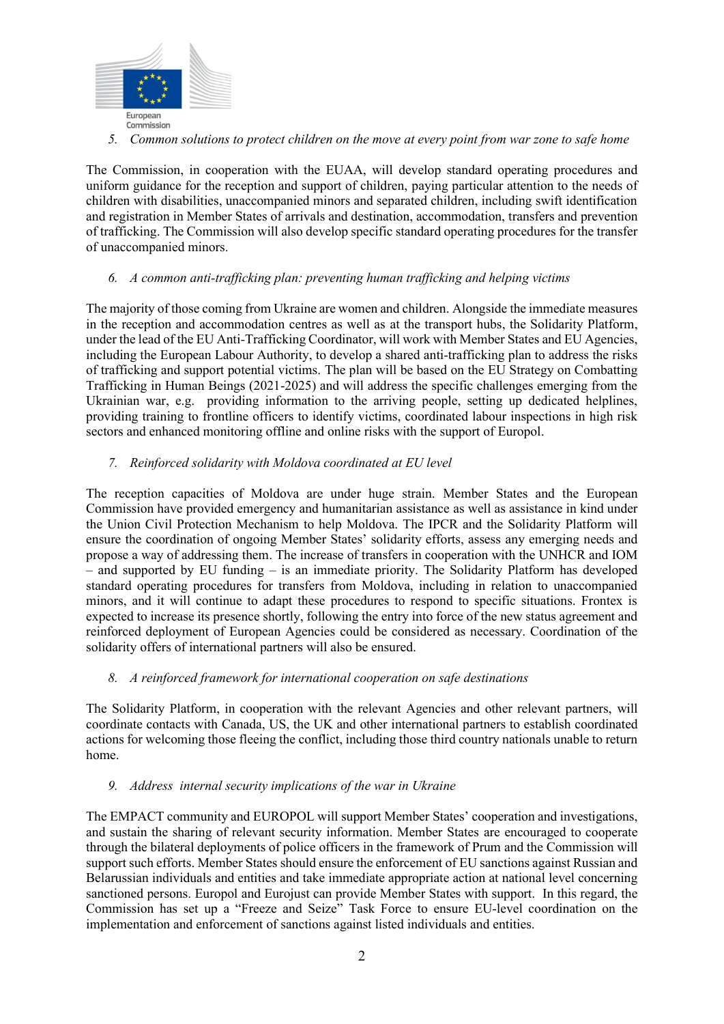

*5. Common solutions to protect children on the move at every point from war zone to safe home* 

The Commission, in cooperation with the EUAA, will develop standard operating procedures and uniform guidance for the reception and support of children, paying particular attention to the needs of children with disabilities, unaccompanied minors and separated children, including swift identification and registration in Member States of arrivals and destination, accommodation, transfers and prevention of trafficking. The Commission will also develop specific standard operating procedures for the transfer of unaccompanied minors.

### *6. A common anti-trafficking plan: preventing human trafficking and helping victims*

The majority of those coming from Ukraine are women and children. Alongside the immediate measures in the reception and accommodation centres as well as at the transport hubs, the Solidarity Platform, under the lead of the EU Anti-Trafficking Coordinator, will work with Member States and EU Agencies, including the European Labour Authority, to develop a shared anti-trafficking plan to address the risks of trafficking and support potential victims. The plan will be based on the EU Strategy on Combatting Trafficking in Human Beings (2021-2025) and will address the specific challenges emerging from the Ukrainian war, e.g. providing information to the arriving people, setting up dedicated helplines, providing training to frontline officers to identify victims, coordinated labour inspections in high risk sectors and enhanced monitoring offline and online risks with the support of Europol.

# *7. Reinforced solidarity with Moldova coordinated at EU level*

The reception capacities of Moldova are under huge strain. Member States and the European Commission have provided emergency and humanitarian assistance as well as assistance in kind under the Union Civil Protection Mechanism to help Moldova. The IPCR and the Solidarity Platform will ensure the coordination of ongoing Member States' solidarity efforts, assess any emerging needs and propose a way of addressing them. The increase of transfers in cooperation with the UNHCR and IOM  $-$  and supported by EU funding  $-$  is an immediate priority. The Solidarity Platform has developed standard operating procedures for transfers from Moldova, including in relation to unaccompanied minors, and it will continue to adapt these procedures to respond to specific situations. Frontex is expected to increase its presence shortly, following the entry into force of the new status agreement and reinforced deployment of European Agencies could be considered as necessary. Coordination of the solidarity offers of international partners will also be ensured.

### *8. A reinforced framework for international cooperation on safe destinations*

The Solidarity Platform, in cooperation with the relevant Agencies and other relevant partners, will coordinate contacts with Canada, US, the UK and other international partners to establish coordinated actions for welcoming those fleeing the conflict, including those third country nationals unable to return home.

### *9. Address internal security implications of the war in Ukraine*

The EMPACT community and EUROPOL will support Member States' cooperation and investigations, and sustain the sharing of relevant security information. Member States are encouraged to cooperate through the bilateral deployments of police officers in the framework of Prum and the Commission will support such efforts. Member States should ensure the enforcement of EU sanctions against Russian and Belarussian individuals and entities and take immediate appropriate action at national level concerning sanctioned persons. Europol and Eurojust can provide Member States with support. In this regard, the Commission has set up a "Freeze and Seize" Task Force to ensure EU-level coordination on the implementation and enforcement of sanctions against listed individuals and entities.